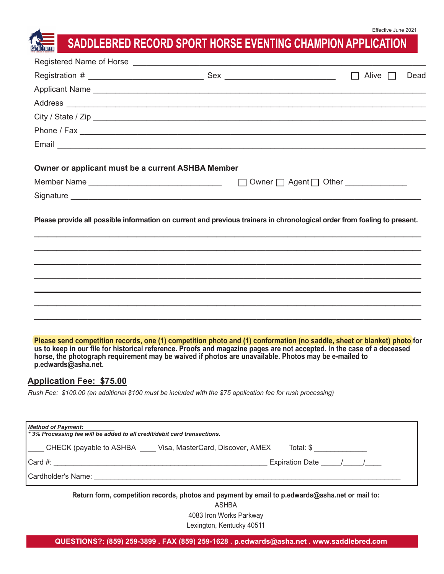# **SADDLEBRED RECORD SPORT HORSE EVENTING CHAMPION APPLICATION**

|                                                                                                      |                                                                                                                                                                                                                                                                                                                                                           | Dead                                          |
|------------------------------------------------------------------------------------------------------|-----------------------------------------------------------------------------------------------------------------------------------------------------------------------------------------------------------------------------------------------------------------------------------------------------------------------------------------------------------|-----------------------------------------------|
|                                                                                                      | Applicant Name experience and a series of the series of the series of the series of the series of the series of the series of the series of the series of the series of the series of the series of the series of the series o                                                                                                                            |                                               |
|                                                                                                      |                                                                                                                                                                                                                                                                                                                                                           |                                               |
|                                                                                                      |                                                                                                                                                                                                                                                                                                                                                           |                                               |
|                                                                                                      |                                                                                                                                                                                                                                                                                                                                                           |                                               |
|                                                                                                      |                                                                                                                                                                                                                                                                                                                                                           |                                               |
| Owner or applicant must be a current ASHBA Member                                                    |                                                                                                                                                                                                                                                                                                                                                           |                                               |
| Member Name                                                                                          |                                                                                                                                                                                                                                                                                                                                                           | $\Box$ Owner $\Box$ Agent $\Box$ Other $\Box$ |
|                                                                                                      |                                                                                                                                                                                                                                                                                                                                                           |                                               |
|                                                                                                      | Please provide all possible information on current and previous trainers in chronological order from foaling to present.                                                                                                                                                                                                                                  |                                               |
| p.edwards@asha.net.                                                                                  | Please send competition records, one (1) competition photo and (1) conformation (no saddle, sheet or blanket) photo for<br>us to keep in our file for historical reference. Proofs and magazine pages are not accepted. In the case of a deceased<br>horse, the photograph requirement may be waived if photos are unavailable. Photos may be e-mailed to |                                               |
| <b>Application Fee: \$75.00</b>                                                                      |                                                                                                                                                                                                                                                                                                                                                           |                                               |
|                                                                                                      | Rush Fee: \$100.00 (an additional \$100 must be included with the \$75 application fee for rush processing)                                                                                                                                                                                                                                               |                                               |
| <b>Method of Payment:</b><br>*3% Processing fee will be added to all credit/debit card transactions. |                                                                                                                                                                                                                                                                                                                                                           |                                               |
|                                                                                                      | CHECK (payable to ASHBA ____ Visa, MasterCard, Discover, AMEX Total: \$                                                                                                                                                                                                                                                                                   |                                               |
|                                                                                                      |                                                                                                                                                                                                                                                                                                                                                           | Expiration Date / /                           |
|                                                                                                      |                                                                                                                                                                                                                                                                                                                                                           |                                               |
|                                                                                                      | Return form, competition records, photos and payment by email to p.edwards@asha.net or mail to:<br><b>ASHBA</b>                                                                                                                                                                                                                                           |                                               |

4083 Iron Works Parkway

Lexington, Kentucky 40511

**QUESTIONS?: (859) 259-3899 . FAX (859) 259-1628 . p.edwards@asha.net . www.saddlebred.com**